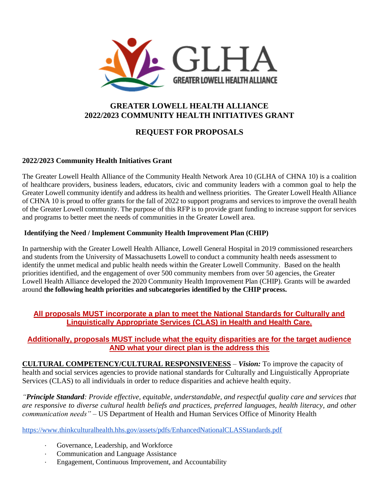

## **GREATER LOWELL HEALTH ALLIANCE 2022/2023 COMMUNITY HEALTH INITIATIVES GRANT**

# **REQUEST FOR PROPOSALS**

## **2022/2023 Community Health Initiatives Grant**

The Greater Lowell Health Alliance of the Community Health Network Area 10 (GLHA of CHNA 10) is a coalition of healthcare providers, business leaders, educators, civic and community leaders with a common goal to help the Greater Lowell community identify and address its health and wellness priorities. The Greater Lowell Health Alliance of CHNA 10 is proud to offer grants for the fall of 2022 to support programs and services to improve the overall health of the Greater Lowell community. The purpose of this RFP is to provide grant funding to increase support for services and programs to better meet the needs of communities in the Greater Lowell area.

### **Identifying the Need / Implement Community Health Improvement Plan (CHIP)**

In partnership with the Greater Lowell Health Alliance, Lowell General Hospital in 2019 commissioned researchers and students from the University of Massachusetts Lowell to conduct a community health needs assessment to identify the unmet medical and public health needs within the Greater Lowell Community. Based on the health priorities identified, and the engagement of over 500 community members from over 50 agencies, the Greater Lowell Health Alliance developed the 2020 Community Health Improvement Plan (CHIP). Grants will be awarded around **the following health priorities and subcategories identified by the CHIP process.**

## **All proposals MUST incorporate a plan to meet the National Standards for Culturally and Linguistically Appropriate Services (CLAS) in Health and Health Care.**

## **Additionally, proposals MUST include what the equity disparities are for the target audience AND what your direct plan is the address this**

**CULTURAL COMPETENCY/CULTURAL RESPONSIVENESS** – *Vision:* To improve the capacity of health and social services agencies to provide national standards for Culturally and Linguistically Appropriate Services (CLAS) to all individuals in order to reduce disparities and achieve health equity.

*"Principle Standard: Provide effective, equitable, understandable, and respectful quality care and services that are responsive to diverse cultural health beliefs and practices, preferred languages, health literacy, and other communication needs"* – US Department of Health and Human Services Office of Minority Health

<https://www.thinkculturalhealth.hhs.gov/assets/pdfs/EnhancedNationalCLASStandards.pdf>

- Governance, Leadership, and Workforce
- · Communication and Language Assistance
- Engagement, Continuous Improvement, and Accountability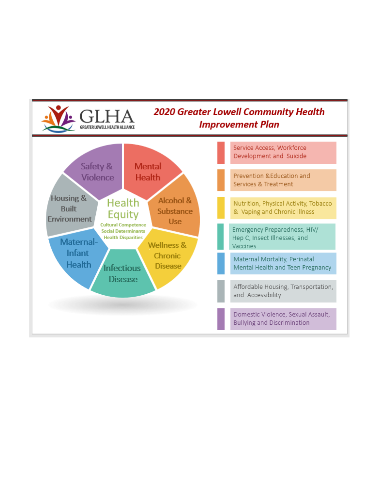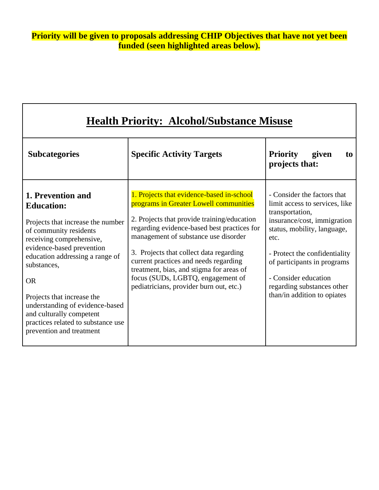| <b>Health Priority: Alcohol/Substance Misuse</b>                                                                                                                                                                                                                                                                                                                                             |                                                                                                                                                                                                                                                                                                                                                                                                                                           |                                                                                                                                                                                                                                                                                                             |
|----------------------------------------------------------------------------------------------------------------------------------------------------------------------------------------------------------------------------------------------------------------------------------------------------------------------------------------------------------------------------------------------|-------------------------------------------------------------------------------------------------------------------------------------------------------------------------------------------------------------------------------------------------------------------------------------------------------------------------------------------------------------------------------------------------------------------------------------------|-------------------------------------------------------------------------------------------------------------------------------------------------------------------------------------------------------------------------------------------------------------------------------------------------------------|
| <b>Subcategories</b>                                                                                                                                                                                                                                                                                                                                                                         | <b>Specific Activity Targets</b>                                                                                                                                                                                                                                                                                                                                                                                                          | <b>Priority</b><br>given<br>to<br>projects that:                                                                                                                                                                                                                                                            |
| 1. Prevention and<br><b>Education:</b><br>Projects that increase the number<br>of community residents<br>receiving comprehensive,<br>evidence-based prevention<br>education addressing a range of<br>substances,<br><b>OR</b><br>Projects that increase the<br>understanding of evidence-based<br>and culturally competent<br>practices related to substance use<br>prevention and treatment | 1. Projects that evidence-based in-school<br>programs in Greater Lowell communities<br>2. Projects that provide training/education<br>regarding evidence-based best practices for<br>management of substance use disorder<br>3. Projects that collect data regarding<br>current practices and needs regarding<br>treatment, bias, and stigma for areas of<br>focus (SUDs, LGBTQ, engagement of<br>pediatricians, provider burn out, etc.) | - Consider the factors that<br>limit access to services, like<br>transportation,<br>insurance/cost, immigration<br>status, mobility, language,<br>etc.<br>- Protect the confidentiality<br>of participants in programs<br>- Consider education<br>regarding substances other<br>than/in addition to opiates |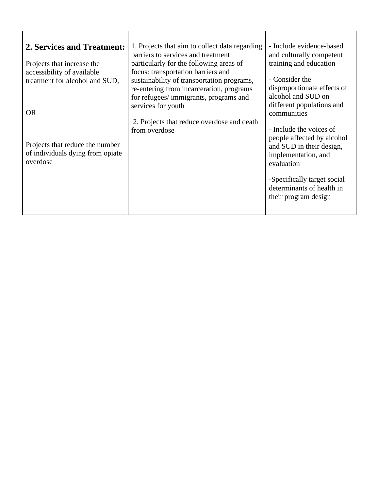| 2. Services and Treatment:<br>Projects that increase the<br>accessibility of available<br>treatment for alcohol and SUD,<br><b>OR</b><br>Projects that reduce the number<br>of individuals dying from opiate<br>overdose | 1. Projects that aim to collect data regarding<br>barriers to services and treatment<br>particularly for the following areas of<br>focus: transportation barriers and<br>sustainability of transportation programs,<br>re-entering from incarceration, programs<br>for refugees/immigrants, programs and<br>services for youth<br>2. Projects that reduce overdose and death<br>from overdose | - Include evidence-based<br>and culturally competent<br>training and education<br>- Consider the<br>disproportionate effects of<br>alcohol and SUD on<br>different populations and<br>communities<br>- Include the voices of<br>people affected by alcohol<br>and SUD in their design,<br>implementation, and<br>evaluation<br>-Specifically target social |
|--------------------------------------------------------------------------------------------------------------------------------------------------------------------------------------------------------------------------|-----------------------------------------------------------------------------------------------------------------------------------------------------------------------------------------------------------------------------------------------------------------------------------------------------------------------------------------------------------------------------------------------|------------------------------------------------------------------------------------------------------------------------------------------------------------------------------------------------------------------------------------------------------------------------------------------------------------------------------------------------------------|
|                                                                                                                                                                                                                          |                                                                                                                                                                                                                                                                                                                                                                                               | determinants of health in<br>their program design                                                                                                                                                                                                                                                                                                          |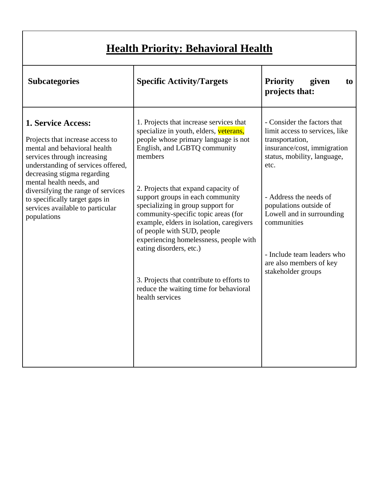|  | <b>Health Priority: Behavioral Health</b> |  |
|--|-------------------------------------------|--|
|  |                                           |  |

| <b>Subcategories</b>                                                                                                                                                                                                                                                                                                                                     | <b>Specific Activity/Targets</b>                                                                                                                                                                                                                                                                                                                                                                                                                                                                                                                                                     | <b>Priority</b><br>given<br>to<br>projects that:                                                                                                                                                                                                                                                                                      |
|----------------------------------------------------------------------------------------------------------------------------------------------------------------------------------------------------------------------------------------------------------------------------------------------------------------------------------------------------------|--------------------------------------------------------------------------------------------------------------------------------------------------------------------------------------------------------------------------------------------------------------------------------------------------------------------------------------------------------------------------------------------------------------------------------------------------------------------------------------------------------------------------------------------------------------------------------------|---------------------------------------------------------------------------------------------------------------------------------------------------------------------------------------------------------------------------------------------------------------------------------------------------------------------------------------|
| <b>1. Service Access:</b><br>Projects that increase access to<br>mental and behavioral health<br>services through increasing<br>understanding of services offered,<br>decreasing stigma regarding<br>mental health needs, and<br>diversifying the range of services<br>to specifically target gaps in<br>services available to particular<br>populations | 1. Projects that increase services that<br>specialize in youth, elders, veterans,<br>people whose primary language is not<br>English, and LGBTQ community<br>members<br>2. Projects that expand capacity of<br>support groups in each community<br>specializing in group support for<br>community-specific topic areas (for<br>example, elders in isolation, caregivers<br>of people with SUD, people<br>experiencing homelessness, people with<br>eating disorders, etc.)<br>3. Projects that contribute to efforts to<br>reduce the waiting time for behavioral<br>health services | - Consider the factors that<br>limit access to services, like<br>transportation,<br>insurance/cost, immigration<br>status, mobility, language,<br>etc.<br>- Address the needs of<br>populations outside of<br>Lowell and in surrounding<br>communities<br>- Include team leaders who<br>are also members of key<br>stakeholder groups |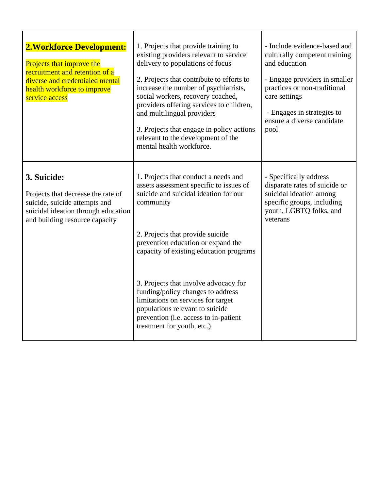| <b>2. Workforce Development:</b><br>Projects that improve the<br>recruitment and retention of a<br>diverse and credentialed mental<br>health workforce to improve<br>service access | 1. Projects that provide training to<br>existing providers relevant to service<br>delivery to populations of focus<br>2. Projects that contribute to efforts to<br>increase the number of psychiatrists,<br>social workers, recovery coached,<br>providers offering services to children,<br>and multilingual providers<br>3. Projects that engage in policy actions<br>relevant to the development of the<br>mental health workforce. | - Include evidence-based and<br>culturally competent training<br>and education<br>- Engage providers in smaller<br>practices or non-traditional<br>care settings<br>- Engages in strategies to<br>ensure a diverse candidate<br>pool |
|-------------------------------------------------------------------------------------------------------------------------------------------------------------------------------------|----------------------------------------------------------------------------------------------------------------------------------------------------------------------------------------------------------------------------------------------------------------------------------------------------------------------------------------------------------------------------------------------------------------------------------------|--------------------------------------------------------------------------------------------------------------------------------------------------------------------------------------------------------------------------------------|
| 3. Suicide:<br>Projects that decrease the rate of<br>suicide, suicide attempts and<br>suicidal ideation through education<br>and building resource capacity                         | 1. Projects that conduct a needs and<br>assets assessment specific to issues of<br>suicide and suicidal ideation for our<br>community<br>2. Projects that provide suicide<br>prevention education or expand the<br>capacity of existing education programs                                                                                                                                                                             | - Specifically address<br>disparate rates of suicide or<br>suicidal ideation among<br>specific groups, including<br>youth, LGBTQ folks, and<br>veterans                                                                              |
|                                                                                                                                                                                     | 3. Projects that involve advocacy for<br>funding/policy changes to address<br>limitations on services for target<br>populations relevant to suicide<br>prevention (i.e. access to in-patient<br>treatment for youth, etc.)                                                                                                                                                                                                             |                                                                                                                                                                                                                                      |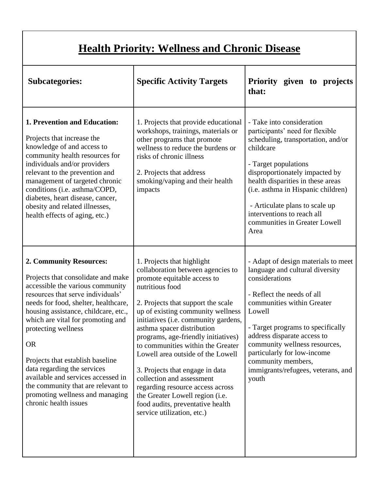# **Health Priority: Wellness and Chronic Disease**

| <b>Subcategories:</b>                                                                                                                                                                                                                                                                                                                                                                                                                                                                                      | <b>Specific Activity Targets</b>                                                                                                                                                                                                                                                                                                                                                                                                                                                                                                                                                             | Priority given to projects<br>that:                                                                                                                                                                                                                                                                                                                                     |
|------------------------------------------------------------------------------------------------------------------------------------------------------------------------------------------------------------------------------------------------------------------------------------------------------------------------------------------------------------------------------------------------------------------------------------------------------------------------------------------------------------|----------------------------------------------------------------------------------------------------------------------------------------------------------------------------------------------------------------------------------------------------------------------------------------------------------------------------------------------------------------------------------------------------------------------------------------------------------------------------------------------------------------------------------------------------------------------------------------------|-------------------------------------------------------------------------------------------------------------------------------------------------------------------------------------------------------------------------------------------------------------------------------------------------------------------------------------------------------------------------|
| 1. Prevention and Education:<br>Projects that increase the<br>knowledge of and access to<br>community health resources for<br>individuals and/or providers<br>relevant to the prevention and<br>management of targeted chronic<br>conditions (i.e. asthma/COPD,<br>diabetes, heart disease, cancer,<br>obesity and related illnesses,<br>health effects of aging, etc.)                                                                                                                                    | 1. Projects that provide educational<br>workshops, trainings, materials or<br>other programs that promote<br>wellness to reduce the burdens or<br>risks of chronic illness<br>2. Projects that address<br>smoking/vaping and their health<br>impacts                                                                                                                                                                                                                                                                                                                                         | - Take into consideration<br>participants' need for flexible<br>scheduling, transportation, and/or<br>childcare<br>- Target populations<br>disproportionately impacted by<br>health disparities in these areas<br>(i.e. asthma in Hispanic children)<br>- Articulate plans to scale up<br>interventions to reach all<br>communities in Greater Lowell<br>Area           |
| 2. Community Resources:<br>Projects that consolidate and make<br>accessible the various community<br>resources that serve individuals'<br>needs for food, shelter, healthcare,<br>housing assistance, childcare, etc.,<br>which are vital for promoting and<br>protecting wellness<br><b>OR</b><br>Projects that establish baseline<br>data regarding the services<br>available and services accessed in<br>the community that are relevant to<br>promoting wellness and managing<br>chronic health issues | 1. Projects that highlight<br>collaboration between agencies to<br>promote equitable access to<br>nutritious food<br>2. Projects that support the scale<br>up of existing community wellness<br>initiatives (i.e. community gardens,<br>asthma spacer distribution<br>programs, age-friendly initiatives)<br>to communities within the Greater<br>Lowell area outside of the Lowell<br>3. Projects that engage in data<br>collection and assessment<br>regarding resource access across<br>the Greater Lowell region (i.e.<br>food audits, preventative health<br>service utilization, etc.) | - Adapt of design materials to meet<br>language and cultural diversity<br>considerations<br>- Reflect the needs of all<br>communities within Greater<br>Lowell<br>- Target programs to specifically<br>address disparate access to<br>community wellness resources,<br>particularly for low-income<br>community members,<br>immigrants/refugees, veterans, and<br>youth |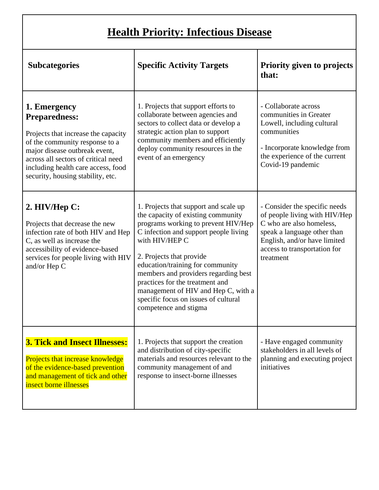# **Health Priority: Infectious Disease**

| <b>Subcategories</b>                                                                                                                                                                                                                                             | <b>Specific Activity Targets</b>                                                                                                                                                                                                                                                                                                                                                                                                 | Priority given to projects<br>that:                                                                                                                                                                    |
|------------------------------------------------------------------------------------------------------------------------------------------------------------------------------------------------------------------------------------------------------------------|----------------------------------------------------------------------------------------------------------------------------------------------------------------------------------------------------------------------------------------------------------------------------------------------------------------------------------------------------------------------------------------------------------------------------------|--------------------------------------------------------------------------------------------------------------------------------------------------------------------------------------------------------|
| 1. Emergency<br><b>Preparedness:</b><br>Projects that increase the capacity<br>of the community response to a<br>major disease outbreak event,<br>across all sectors of critical need<br>including health care access, food<br>security, housing stability, etc. | 1. Projects that support efforts to<br>collaborate between agencies and<br>sectors to collect data or develop a<br>strategic action plan to support<br>community members and efficiently<br>deploy community resources in the<br>event of an emergency                                                                                                                                                                           | - Collaborate across<br>communities in Greater<br>Lowell, including cultural<br>communities<br>- Incorporate knowledge from<br>the experience of the current<br>Covid-19 pandemic                      |
| $2.$ HIV/Hep C:<br>Projects that decrease the new<br>infection rate of both HIV and Hep<br>C, as well as increase the<br>accessibility of evidence-based<br>services for people living with HIV<br>and/or Hep C                                                  | 1. Projects that support and scale up<br>the capacity of existing community<br>programs working to prevent HIV/Hep<br>C infection and support people living<br>with HIV/HEP C<br>2. Projects that provide<br>education/training for community<br>members and providers regarding best<br>practices for the treatment and<br>management of HIV and Hep C, with a<br>specific focus on issues of cultural<br>competence and stigma | - Consider the specific needs<br>of people living with HIV/Hep<br>C who are also homeless,<br>speak a language other than<br>English, and/or have limited<br>access to transportation for<br>treatment |
| <b>3. Tick and Insect Illnesses:</b><br>Projects that increase knowledge<br>of the evidence-based prevention<br>and management of tick and other<br>insect borne illnesses                                                                                       | 1. Projects that support the creation<br>and distribution of city-specific<br>materials and resources relevant to the<br>community management of and<br>response to insect-borne illnesses                                                                                                                                                                                                                                       | - Have engaged community<br>stakeholders in all levels of<br>planning and executing project<br>initiatives                                                                                             |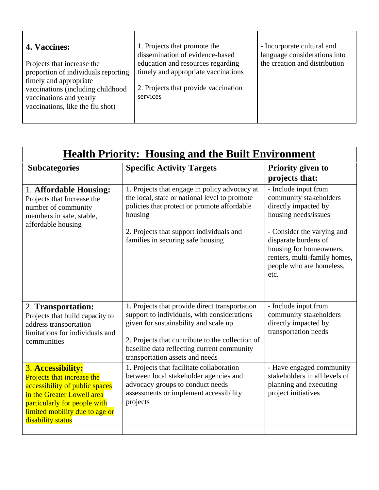| <b>4. Vaccines:</b>                                                                                                                                                                             | 1. Projects that promote the<br>dissemination of evidence-based                                                              | - Incorporate cultural and<br>language considerations into |
|-------------------------------------------------------------------------------------------------------------------------------------------------------------------------------------------------|------------------------------------------------------------------------------------------------------------------------------|------------------------------------------------------------|
| Projects that increase the<br>proportion of individuals reporting<br>timely and appropriate<br>vaccinations (including childhood<br>vaccinations and yearly<br>vaccinations, like the flu shot) | education and resources regarding<br>timely and appropriate vaccinations<br>2. Projects that provide vaccination<br>services | the creation and distribution                              |

| <b>Health Priority: Housing and the Built Environment</b>                                                                                                                                              |                                                                                                                                                                                                                                                                             |                                                                                                                                                                                                                                                     |
|--------------------------------------------------------------------------------------------------------------------------------------------------------------------------------------------------------|-----------------------------------------------------------------------------------------------------------------------------------------------------------------------------------------------------------------------------------------------------------------------------|-----------------------------------------------------------------------------------------------------------------------------------------------------------------------------------------------------------------------------------------------------|
| <b>Subcategories</b>                                                                                                                                                                                   | <b>Specific Activity Targets</b>                                                                                                                                                                                                                                            | <b>Priority given to</b><br>projects that:                                                                                                                                                                                                          |
| 1. Affordable Housing:<br>Projects that Increase the<br>number of community<br>members in safe, stable,<br>affordable housing                                                                          | 1. Projects that engage in policy advocacy at<br>the local, state or national level to promote<br>policies that protect or promote affordable<br>housing<br>2. Projects that support individuals and<br>families in securing safe housing                                   | - Include input from<br>community stakeholders<br>directly impacted by<br>housing needs/issues<br>- Consider the varying and<br>disparate burdens of<br>housing for homeowners,<br>renters, multi-family homes,<br>people who are homeless,<br>etc. |
| 2. Transportation:<br>Projects that build capacity to<br>address transportation<br>limitations for individuals and<br>communities                                                                      | 1. Projects that provide direct transportation<br>support to individuals, with considerations<br>given for sustainability and scale up<br>2. Projects that contribute to the collection of<br>baseline data reflecting current community<br>transportation assets and needs | - Include input from<br>community stakeholders<br>directly impacted by<br>transportation needs                                                                                                                                                      |
| 3. Accessibility:<br>Projects that increase the<br>accessibility of public spaces<br>in the Greater Lowell area<br>particularly for people with<br>limited mobility due to age or<br>disability status | 1. Projects that facilitate collaboration<br>between local stakeholder agencies and<br>advocacy groups to conduct needs<br>assessments or implement accessibility<br>projects                                                                                               | - Have engaged community<br>stakeholders in all levels of<br>planning and executing<br>project initiatives                                                                                                                                          |
|                                                                                                                                                                                                        |                                                                                                                                                                                                                                                                             |                                                                                                                                                                                                                                                     |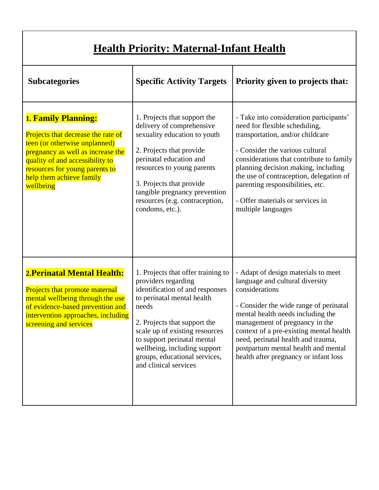# **Health Priority: Maternal-Infant Health**

| <b>Subcategories</b>                                                                                                                                                                                                                                 | <b>Specific Activity Targets</b>                                                                                                                                                                                                                                                                                               | Priority given to projects that:                                                                                                                                                                                                                                                                                                                                            |
|------------------------------------------------------------------------------------------------------------------------------------------------------------------------------------------------------------------------------------------------------|--------------------------------------------------------------------------------------------------------------------------------------------------------------------------------------------------------------------------------------------------------------------------------------------------------------------------------|-----------------------------------------------------------------------------------------------------------------------------------------------------------------------------------------------------------------------------------------------------------------------------------------------------------------------------------------------------------------------------|
| <b>1. Family Planning:</b><br>Projects that decrease the rate of<br>teen (or otherwise unplanned)<br>pregnancy as well as increase the<br>quality of and accessibility to<br>resources for young parents to<br>help them achieve family<br>wellbeing | 1. Projects that support the<br>delivery of comprehensive<br>sexuality education to youth<br>2. Projects that provide<br>perinatal education and<br>resources to young parents<br>3. Projects that provide<br>tangible pregnancy prevention<br>resources (e.g. contraception,<br>condoms, etc.).                               | - Take into consideration participants'<br>need for flexible scheduling,<br>transportation, and/or childcare<br>- Consider the various cultural<br>considerations that contribute to family<br>planning decision making, including<br>the use of contraception, delegation of<br>parenting responsibilities, etc.<br>- Offer materials or services in<br>multiple languages |
| 2. Perinatal Mental Health:<br>Projects that promote maternal<br>mental wellbeing through the use<br>of evidence-based prevention and<br>intervention approaches, including<br>screening and services                                                | 1. Projects that offer training to<br>providers regarding<br>identification of and responses<br>to perinatal mental health<br>needs<br>2. Projects that support the<br>scale up of existing resources<br>to support perinatal mental<br>wellbeing, including support<br>groups, educational services,<br>and clinical services | - Adapt of design materials to meet<br>language and cultural diversity<br>considerations<br>- Consider the wide range of perinatal<br>mental health needs including the<br>management of pregnancy in the<br>context of a pre-existing mental health<br>need, perinatal health and trauma,<br>postpartum mental health and mental<br>health after pregnancy or infant loss  |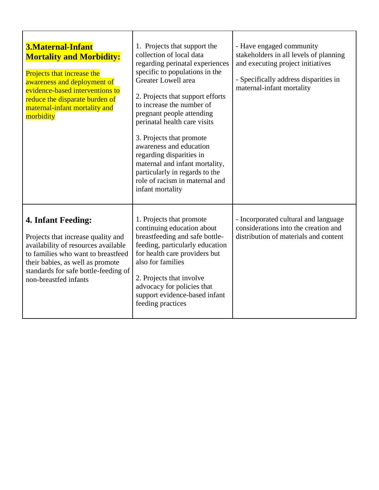| 3. Maternal-Infant<br><b>Mortality and Morbidity:</b><br>Projects that increase the<br>awareness and deployment of<br>evidence-based interventions to<br>reduce the disparate burden of<br>maternal-infant mortality and<br>morbidity             | 1. Projects that support the<br>collection of local data<br>regarding perinatal experiences<br>specific to populations in the<br>Greater Lowell area<br>2. Projects that support efforts<br>to increase the number of<br>pregnant people attending<br>perinatal health care visits<br>3. Projects that promote<br>awareness and education<br>regarding disparities in<br>maternal and infant mortality,<br>particularly in regards to the<br>role of racism in maternal and<br>infant mortality | - Have engaged community<br>stakeholders in all levels of planning<br>and executing project initiatives<br>- Specifically address disparities in<br>maternal-infant mortality |
|---------------------------------------------------------------------------------------------------------------------------------------------------------------------------------------------------------------------------------------------------|-------------------------------------------------------------------------------------------------------------------------------------------------------------------------------------------------------------------------------------------------------------------------------------------------------------------------------------------------------------------------------------------------------------------------------------------------------------------------------------------------|-------------------------------------------------------------------------------------------------------------------------------------------------------------------------------|
| <b>4. Infant Feeding:</b><br>Projects that increase quality and<br>availability of resources available<br>to families who want to breastfeed<br>their babies, as well as promote<br>standards for safe bottle-feeding of<br>non-breastfed infants | 1. Projects that promote<br>continuing education about<br>breastfeeding and safe bottle-<br>feeding, particularly education<br>for health care providers but<br>also for families<br>2. Projects that involve<br>advocacy for policies that<br>support evidence-based infant<br>feeding practices                                                                                                                                                                                               | - Incorporated cultural and language<br>considerations into the creation and<br>distribution of materials and content                                                         |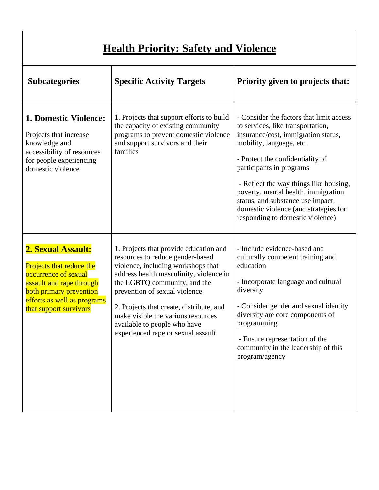| <b>Health Priority: Safety and Violence</b>                                                                                                                                            |                                                                                                                                                                                                                                                                                                                                                                                      |                                                                                                                                                                                                                                                                                                                                                                                                                    |  |
|----------------------------------------------------------------------------------------------------------------------------------------------------------------------------------------|--------------------------------------------------------------------------------------------------------------------------------------------------------------------------------------------------------------------------------------------------------------------------------------------------------------------------------------------------------------------------------------|--------------------------------------------------------------------------------------------------------------------------------------------------------------------------------------------------------------------------------------------------------------------------------------------------------------------------------------------------------------------------------------------------------------------|--|
| <b>Subcategories</b>                                                                                                                                                                   | <b>Specific Activity Targets</b>                                                                                                                                                                                                                                                                                                                                                     | Priority given to projects that:                                                                                                                                                                                                                                                                                                                                                                                   |  |
| <b>1. Domestic Violence:</b><br>Projects that increase<br>knowledge and<br>accessibility of resources<br>for people experiencing<br>domestic violence                                  | 1. Projects that support efforts to build<br>the capacity of existing community<br>programs to prevent domestic violence<br>and support survivors and their<br>families                                                                                                                                                                                                              | - Consider the factors that limit access<br>to services, like transportation,<br>insurance/cost, immigration status,<br>mobility, language, etc.<br>- Protect the confidentiality of<br>participants in programs<br>- Reflect the way things like housing,<br>poverty, mental health, immigration<br>status, and substance use impact<br>domestic violence (and strategies for<br>responding to domestic violence) |  |
| 2. Sexual Assault:<br>Projects that reduce the<br>occurrence of sexual<br>assault and rape through<br>both primary prevention<br>efforts as well as programs<br>that support survivors | 1. Projects that provide education and<br>resources to reduce gender-based<br>violence, including workshops that<br>address health masculinity, violence in<br>the LGBTQ community, and the<br>prevention of sexual violence<br>2. Projects that create, distribute, and<br>make visible the various resources<br>available to people who have<br>experienced rape or sexual assault | - Include evidence-based and<br>culturally competent training and<br>education<br>- Incorporate language and cultural<br>diversity<br>- Consider gender and sexual identity<br>diversity are core components of<br>programming<br>- Ensure representation of the<br>community in the leadership of this<br>program/agency                                                                                          |  |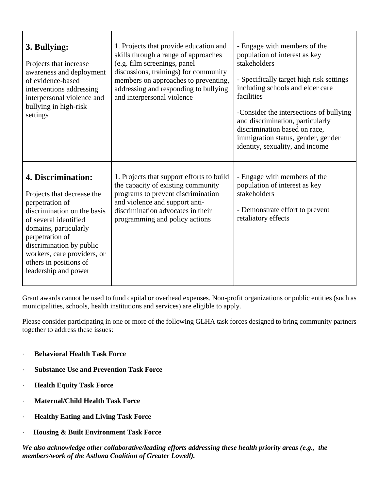| 3. Bullying:<br>Projects that increase<br>awareness and deployment<br>of evidence-based<br>interventions addressing<br>interpersonal violence and<br>bullying in high-risk<br>settings                                                                                               | 1. Projects that provide education and<br>skills through a range of approaches<br>(e.g. film screenings, panel<br>discussions, trainings) for community<br>members on approaches to preventing,<br>addressing and responding to bullying<br>and interpersonal violence | - Engage with members of the<br>population of interest as key<br>stakeholders<br>- Specifically target high risk settings<br>including schools and elder care<br>facilities<br>-Consider the intersections of bullying<br>and discrimination, particularly<br>discrimination based on race,<br>immigration status, gender, gender<br>identity, sexuality, and income |
|--------------------------------------------------------------------------------------------------------------------------------------------------------------------------------------------------------------------------------------------------------------------------------------|------------------------------------------------------------------------------------------------------------------------------------------------------------------------------------------------------------------------------------------------------------------------|----------------------------------------------------------------------------------------------------------------------------------------------------------------------------------------------------------------------------------------------------------------------------------------------------------------------------------------------------------------------|
| 4. Discrimination:<br>Projects that decrease the<br>perpetration of<br>discrimination on the basis<br>of several identified<br>domains, particularly<br>perpetration of<br>discrimination by public<br>workers, care providers, or<br>others in positions of<br>leadership and power | 1. Projects that support efforts to build<br>the capacity of existing community<br>programs to prevent discrimination<br>and violence and support anti-<br>discrimination advocates in their<br>programming and policy actions                                         | - Engage with members of the<br>population of interest as key<br>stakeholders<br>- Demonstrate effort to prevent<br>retaliatory effects                                                                                                                                                                                                                              |

Grant awards cannot be used to fund capital or overhead expenses. Non-profit organizations or public entities (such as municipalities, schools, health institutions and services) are eligible to apply.

Please consider participating in one or more of the following GLHA task forces designed to bring community partners together to address these issues:

- · **Behavioral Health Task Force**
- · **Substance Use and Prevention Task Force**
- **Health Equity Task Force**
- · **Maternal/Child Health Task Force**
- · **Healthy Eating and Living Task Force**
- · **Housing & Built Environment Task Force**

*We also acknowledge other collaborative/leading efforts addressing these health priority areas (e.g., the members/work of the Asthma Coalition of Greater Lowell).*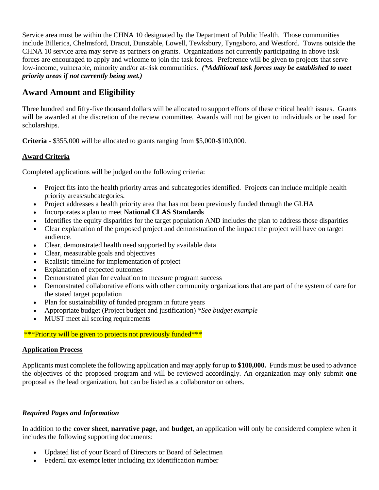Service area must be within the CHNA 10 designated by the Department of Public Health. Those communities include Billerica, Chelmsford, Dracut, Dunstable, Lowell, Tewksbury, Tyngsboro, and Westford. Towns outside the CHNA 10 service area may serve as partners on grants. Organizations not currently participating in above task forces are encouraged to apply and welcome to join the task forces. Preference will be given to projects that serve low-income, vulnerable, minority and/or at-risk communities. *(\*Additional task forces may be established to meet priority areas if not currently being met.)*

## **Award Amount and Eligibility**

Three hundred and fifty-five thousand dollars will be allocated to support efforts of these critical health issues. Grants will be awarded at the discretion of the review committee. Awards will not be given to individuals or be used for scholarships.

**Criteria** - \$355,000 will be allocated to grants ranging from \$5,000-\$100,000.

## **Award Criteria**

Completed applications will be judged on the following criteria:

- Project fits into the health priority areas and subcategories identified. Projects can include multiple health priority areas/subcategories.
- Project addresses a health priority area that has not been previously funded through the GLHA
- Incorporates a plan to meet **National CLAS Standards**
- Identifies the equity disparities for the target population AND includes the plan to address those disparities
- Clear explanation of the proposed project and demonstration of the impact the project will have on target audience.
- Clear, demonstrated health need supported by available data
- Clear, measurable goals and objectives
- Realistic timeline for implementation of project
- Explanation of expected outcomes
- Demonstrated plan for evaluation to measure program success
- Demonstrated collaborative efforts with other community organizations that are part of the system of care for the stated target population
- Plan for sustainability of funded program in future years
- Appropriate budget (Project budget and justification) *\*See budget example*
- MUST meet all scoring requirements

#### \*\*\*Priority will be given to projects not previously funded\*\*\*

#### **Application Process**

Applicants must complete the following application and may apply for up to **\$100,000.** Funds must be used to advance the objectives of the proposed program and will be reviewed accordingly. An organization may only submit **one**  proposal as the lead organization, but can be listed as a collaborator on others.

### *Required Pages and Information*

In addition to the **cover sheet**, **narrative page**, and **budget**, an application will only be considered complete when it includes the following supporting documents:

- Updated list of your Board of Directors or Board of Selectmen
- Federal tax-exempt letter including tax identification number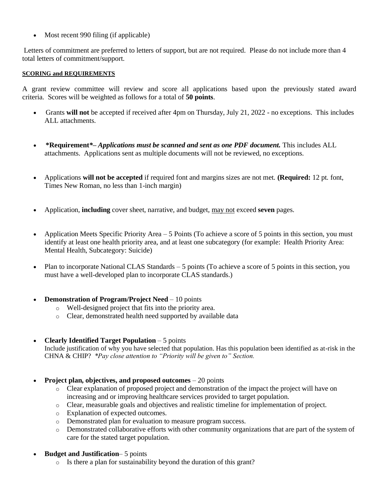• Most recent 990 filing (if applicable)

Letters of commitment are preferred to letters of support, but are not required. Please do not include more than 4 total letters of commitment/support.

#### **SCORING and REQUIREMENTS**

A grant review committee will review and score all applications based upon the previously stated award criteria. Scores will be weighted as follows for a total of **50 points**.

- Grants **will not** be accepted if received after 4pm on Thursday, July 21, 2022 no exceptions. This includes ALL attachments.
- **\*Requirement***\*– Applications must be scanned and sent as one PDF document.* This includes ALL attachments. Applications sent as multiple documents will not be reviewed, no exceptions.
- Applications **will not be accepted** if required font and margins sizes are not met. **(Required:** 12 pt. font, Times New Roman, no less than 1-inch margin)
- Application, **including** cover sheet, narrative, and budget, may not exceed **seven** pages.
- Application Meets Specific Priority Area 5 Points (To achieve a score of 5 points in this section, you must identify at least one health priority area, and at least one subcategory (for example: Health Priority Area: Mental Health, Subcategory: Suicide)
- Plan to incorporate National CLAS Standards 5 points (To achieve a score of 5 points in this section, you must have a well-developed plan to incorporate CLAS standards.)
- **Demonstration of Program/Project Need** 10 points
	- o Well-designed project that fits into the priority area.
	- o Clear, demonstrated health need supported by available data
- **Clearly Identified Target Population** 5 points

Include justification of why you have selected that population. Has this population been identified as at-risk in the CHNA & CHIP? *\*Pay close attention to "Priority will be given to" Section.*

- **Project plan, objectives, and proposed outcomes** 20 points
	- o Clear explanation of proposed project and demonstration of the impact the project will have on increasing and or improving healthcare services provided to target population.
	- o Clear, measurable goals and objectives and realistic timeline for implementation of project.
	- o Explanation of expected outcomes.
	- o Demonstrated plan for evaluation to measure program success.
	- o Demonstrated collaborative efforts with other community organizations that are part of the system of care for the stated target population.
- **Budget and Justification** 5 points
	- o Is there a plan for sustainability beyond the duration of this grant?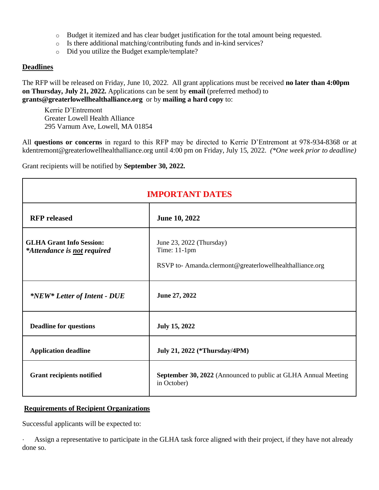- $\circ$  Budget it itemized and has clear budget justification for the total amount being requested.
- o Is there additional matching/contributing funds and in-kind services?
- o Did you utilize the Budget example/template?

#### **Deadlines**

The RFP will be released on Friday, June 10, 2022. All grant applications must be received **no later than 4:00pm on Thursday, July 21, 2022.** Applications can be sent by **email** (preferred method) to **grants@greaterlowellhealthalliance.org** or by **mailing a hard copy** to:

Kerrie D'Entremont Greater Lowell Health Alliance 295 Varnum Ave, Lowell, MA 01854

All **questions or concerns** in regard to this RFP may be directed to Kerrie D'Entremont at 978-934-8368 or at kdentremont@greaterlowellhealthalliance.org until 4:00 pm on Friday, July 15, 2022. *(\*One week prior to deadline)*

Grant recipients will be notified by **September 30, 2022.** 

| <b>IMPORTANT DATES</b>                                         |                                                                                                     |  |  |
|----------------------------------------------------------------|-----------------------------------------------------------------------------------------------------|--|--|
| <b>RFP</b> released                                            | June 10, 2022                                                                                       |  |  |
| <b>GLHA Grant Info Session:</b><br>*Attendance is not required | June 23, 2022 (Thursday)<br>Time: 11-1pm<br>RSVP to-Amanda.clermont@greaterlowellhealthalliance.org |  |  |
| *NEW* Letter of Intent - DUE                                   | June 27, 2022                                                                                       |  |  |
| <b>Deadline for questions</b>                                  | <b>July 15, 2022</b>                                                                                |  |  |
| <b>Application deadline</b>                                    | July 21, 2022 (*Thursday/4PM)                                                                       |  |  |
| <b>Grant recipients notified</b>                               | <b>September 30, 2022</b> (Announced to public at GLHA Annual Meeting<br>in October)                |  |  |

#### **Requirements of Recipient Organizations**

Successful applicants will be expected to:

Assign a representative to participate in the GLHA task force aligned with their project, if they have not already done so.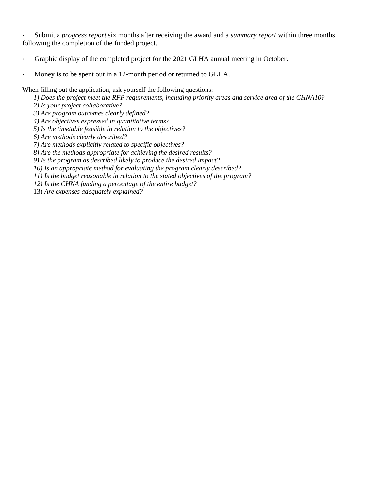· Submit a *progress report* six months after receiving the award and a *summary report* within three months following the completion of the funded project.

- · Graphic display of the completed project for the 2021 GLHA annual meeting in October.
- Money is to be spent out in a 12-month period or returned to GLHA.

When filling out the application, ask yourself the following questions:

*1) Does the project meet the RFP requirements, including priority areas and service area of the CHNA10?*

- *2) Is your project collaborative?*
- *3) Are program outcomes clearly defined?*
- *4) Are objectives expressed in quantitative terms?*
- *5) Is the timetable feasible in relation to the objectives?*
- *6) Are methods clearly described?*
- *7) Are methods explicitly related to specific objectives?*
- *8) Are the methods appropriate for achieving the desired results?*
- *9) Is the program as described likely to produce the desired impact?*
- *10) Is an appropriate method for evaluating the program clearly described?*
- *11) Is the budget reasonable in relation to the stated objectives of the program?*
- *12) Is the CHNA funding a percentage of the entire budget?*

13) *Are expenses adequately explained?*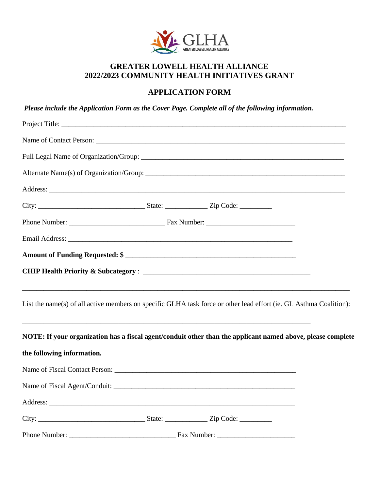

## **GREATER LOWELL HEALTH ALLIANCE 2022/2023 COMMUNITY HEALTH INITIATIVES GRANT**

## **APPLICATION FORM**

*Please include the Application Form as the Cover Page. Complete all of the following information.*

| List the name(s) of all active members on specific GLHA task force or other lead effort (ie. GL Asthma Coalition): |  |  |
|--------------------------------------------------------------------------------------------------------------------|--|--|
| NOTE: If your organization has a fiscal agent/conduit other than the applicant named above, please complete        |  |  |
| the following information.                                                                                         |  |  |
|                                                                                                                    |  |  |
|                                                                                                                    |  |  |
|                                                                                                                    |  |  |
|                                                                                                                    |  |  |
|                                                                                                                    |  |  |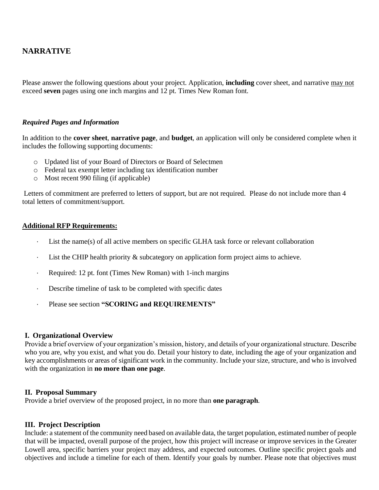## **NARRATIVE**

Please answer the following questions about your project. Application, **including** cover sheet, and narrative may not exceed **seven** pages using one inch margins and 12 pt. Times New Roman font.

#### *Required Pages and Information*

In addition to the **cover sheet**, **narrative page**, and **budget**, an application will only be considered complete when it includes the following supporting documents:

- o Updated list of your Board of Directors or Board of Selectmen
- o Federal tax exempt letter including tax identification number
- o Most recent 990 filing (if applicable)

Letters of commitment are preferred to letters of support, but are not required. Please do not include more than 4 total letters of commitment/support.

#### **Additional RFP Requirements:**

- · List the name(s) of all active members on specific GLHA task force or relevant collaboration
- · List the CHIP health priority & subcategory on application form project aims to achieve.
- · Required: 12 pt. font (Times New Roman) with 1-inch margins
- · Describe timeline of task to be completed with specific dates
- · Please see section **"SCORING and REQUIREMENTS"**

#### **I. Organizational Overview**

Provide a brief overview of your organization's mission, history, and details of your organizational structure. Describe who you are, why you exist, and what you do. Detail your history to date, including the age of your organization and key accomplishments or areas of significant work in the community. Include your size, structure, and who is involved with the organization in **no more than one page**.

#### **II. Proposal Summary**

Provide a brief overview of the proposed project, in no more than **one paragraph**.

#### **III. Project Description**

Include: a statement of the community need based on available data, the target population, estimated number of people that will be impacted, overall purpose of the project, how this project will increase or improve services in the Greater Lowell area, specific barriers your project may address, and expected outcomes. Outline specific project goals and objectives and include a timeline for each of them. Identify your goals by number. Please note that objectives must